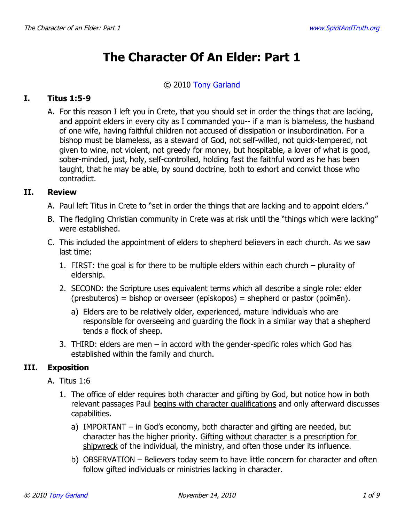# **The Character Of An Elder: Part 1**

#### © 2010 [Tony Garland](http://www.spiritandtruth.org/id/tg.htm)

## **I. Titus 1:5-9**

A. For this reason I left you in Crete, that you should set in order the things that are lacking, and appoint elders in every city as I commanded you-- if a man is blameless, the husband of one wife, having faithful children not accused of dissipation or insubordination. For a bishop must be blameless, as a steward of God, not self-willed, not quick-tempered, not given to wine, not violent, not greedy for money, but hospitable, a lover of what is good, sober-minded, just, holy, self-controlled, holding fast the faithful word as he has been taught, that he may be able, by sound doctrine, both to exhort and convict those who contradict.

## **II. Review**

- A. Paul left Titus in Crete to "set in order the things that are lacking and to appoint elders."
- B. The fledgling Christian community in Crete was at risk until the "things which were lacking" were established.
- C. This included the appointment of elders to shepherd believers in each church. As we saw last time:
	- 1. FIRST: the goal is for there to be multiple elders within each church plurality of eldership.
	- 2. SECOND: the Scripture uses equivalent terms which all describe a single role: elder (presbuteros) = bishop or overseer (episkopos) = shepherd or pastor (poimēn).
		- a) Elders are to be relatively older, experienced, mature individuals who are responsible for overseeing and guarding the flock in a similar way that a shepherd tends a flock of sheep.
	- 3. THIRD: elders are men in accord with the gender-specific roles which God has established within the family and church.

## **III. Exposition**

- A. Titus 1:6
	- 1. The office of elder requires both character and gifting by God, but notice how in both relevant passages Paul begins with character qualifications and only afterward discusses capabilities.
		- a) IMPORTANT in God's economy, both character and gifting are needed, but character has the higher priority. Gifting without character is a prescription for shipwreck of the individual, the ministry, and often those under its influence.
		- b) OBSERVATION Believers today seem to have little concern for character and often follow gifted individuals or ministries lacking in character.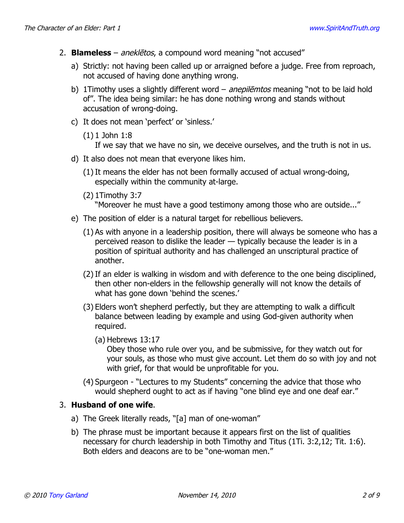- 2. **Blameless** aneklētos, a compound word meaning "not accused"
	- a) Strictly: not having been called up or arraigned before a judge. Free from reproach, not accused of having done anything wrong.
	- b) 1 Timothy uses a slightly different word anepilemtos meaning "not to be laid hold of". The idea being similar: he has done nothing wrong and stands without accusation of wrong-doing.
	- c) It does not mean 'perfect' or 'sinless.'
		- (1) 1 John 1:8

If we say that we have no sin, we deceive ourselves, and the truth is not in us.

- d) It also does not mean that everyone likes him.
	- (1) It means the elder has not been formally accused of actual wrong-doing, especially within the community at-large.
	- (2) 1Timothy 3:7

"Moreover he must have a good testimony among those who are outside..."

- e) The position of elder is a natural target for rebellious believers.
	- (1) As with anyone in a leadership position, there will always be someone who has a perceived reason to dislike the leader — typically because the leader is in a position of spiritual authority and has challenged an unscriptural practice of another.
	- (2) If an elder is walking in wisdom and with deference to the one being disciplined, then other non-elders in the fellowship generally will not know the details of what has gone down 'behind the scenes.'
	- (3) Elders won't shepherd perfectly, but they are attempting to walk a difficult balance between leading by example and using God-given authority when required.
		- (a) Hebrews 13:17

Obey those who rule over you, and be submissive, for they watch out for your souls, as those who must give account. Let them do so with joy and not with grief, for that would be unprofitable for you.

(4) Spurgeon - "Lectures to my Students" concerning the advice that those who would shepherd ought to act as if having "one blind eye and one deaf ear."

## 3. **Husband of one wife**.

- a) The Greek literally reads, "[a] man of one-woman"
- b) The phrase must be important because it appears first on the list of qualities necessary for church leadership in both Timothy and Titus (1Ti. 3:2,12; Tit. 1:6). Both elders and deacons are to be "one-woman men."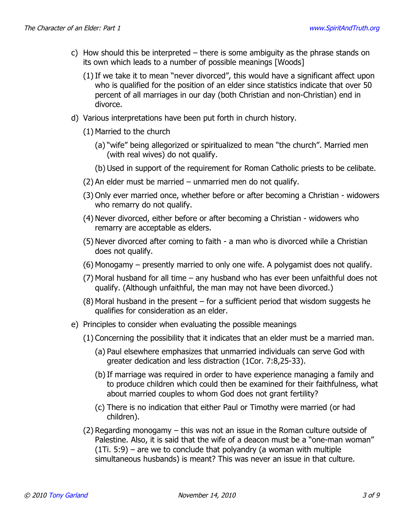- c) How should this be interpreted there is some ambiguity as the phrase stands on its own which leads to a number of possible meanings [Woods]
	- (1) If we take it to mean "never divorced", this would have a significant affect upon who is qualified for the position of an elder since statistics indicate that over 50 percent of all marriages in our day (both Christian and non-Christian) end in divorce.
- d) Various interpretations have been put forth in church history.
	- (1) Married to the church
		- (a) "wife" being allegorized or spiritualized to mean "the church". Married men (with real wives) do not qualify.
		- (b) Used in support of the requirement for Roman Catholic priests to be celibate.
	- (2) An elder must be married unmarried men do not qualify.
	- (3) Only ever married once, whether before or after becoming a Christian widowers who remarry do not qualify.
	- (4) Never divorced, either before or after becoming a Christian widowers who remarry are acceptable as elders.
	- (5) Never divorced after coming to faith a man who is divorced while a Christian does not qualify.
	- (6) Monogamy presently married to only one wife. A polygamist does not qualify.
	- (7) Moral husband for all time any husband who has ever been unfaithful does not qualify. (Although unfaithful, the man may not have been divorced.)
	- (8) Moral husband in the present for a sufficient period that wisdom suggests he qualifies for consideration as an elder.
- e) Principles to consider when evaluating the possible meanings
	- (1) Concerning the possibility that it indicates that an elder must be a married man.
		- (a) Paul elsewhere emphasizes that unmarried individuals can serve God with greater dedication and less distraction (1Cor. 7:8,25-33).
		- (b)If marriage was required in order to have experience managing a family and to produce children which could then be examined for their faithfulness, what about married couples to whom God does not grant fertility?
		- (c) There is no indication that either Paul or Timothy were married (or had children).
	- (2) Regarding monogamy this was not an issue in the Roman culture outside of Palestine. Also, it is said that the wife of a deacon must be a "one-man woman"  $(1)$ . 5:9) – are we to conclude that polyandry (a woman with multiple simultaneous husbands) is meant? This was never an issue in that culture.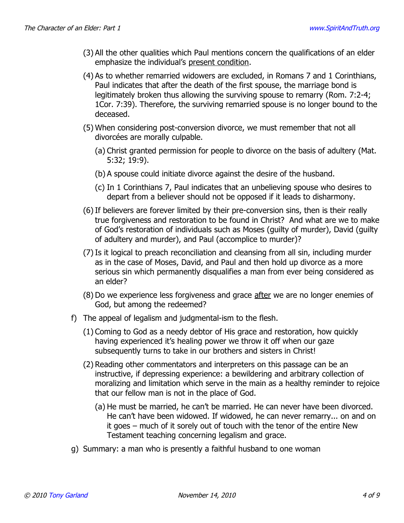- (3) All the other qualities which Paul mentions concern the qualifications of an elder emphasize the individual's present condition.
- (4) As to whether remarried widowers are excluded, in Romans 7 and 1 Corinthians, Paul indicates that after the death of the first spouse, the marriage bond is legitimately broken thus allowing the surviving spouse to remarry (Rom. 7:2-4; 1Cor. 7:39). Therefore, the surviving remarried spouse is no longer bound to the deceased.
- (5) When considering post-conversion divorce, we must remember that not all divorcées are morally culpable.
	- (a) Christ granted permission for people to divorce on the basis of adultery (Mat. 5:32; 19:9).
	- (b) A spouse could initiate divorce against the desire of the husband.
	- (c) In 1 Corinthians 7, Paul indicates that an unbelieving spouse who desires to depart from a believer should not be opposed if it leads to disharmony.
- (6) If believers are forever limited by their pre-conversion sins, then is their really true forgiveness and restoration to be found in Christ? And what are we to make of God's restoration of individuals such as Moses (guilty of murder), David (guilty of adultery and murder), and Paul (accomplice to murder)?
- (7) Is it logical to preach reconciliation and cleansing from all sin, including murder as in the case of Moses, David, and Paul and then hold up divorce as a more serious sin which permanently disqualifies a man from ever being considered as an elder?
- (8) Do we experience less forgiveness and grace after we are no longer enemies of God, but among the redeemed?
- f) The appeal of legalism and judgmental-ism to the flesh.
	- (1) Coming to God as a needy debtor of His grace and restoration, how quickly having experienced it's healing power we throw it off when our gaze subsequently turns to take in our brothers and sisters in Christ!
	- (2) Reading other commentators and interpreters on this passage can be an instructive, if depressing experience: a bewildering and arbitrary collection of moralizing and limitation which serve in the main as a healthy reminder to rejoice that our fellow man is not in the place of God.
		- (a) He must be married, he can't be married. He can never have been divorced. He can't have been widowed. If widowed, he can never remarry... on and on it goes – much of it sorely out of touch with the tenor of the entire New Testament teaching concerning legalism and grace.
- g) Summary: a man who is presently a faithful husband to one woman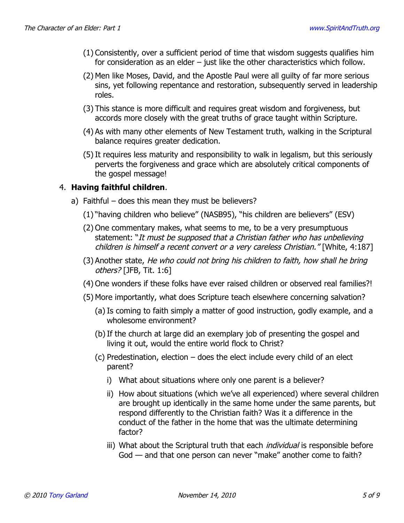- (1) Consistently, over a sufficient period of time that wisdom suggests qualifies him for consideration as an elder – just like the other characteristics which follow.
- (2) Men like Moses, David, and the Apostle Paul were all guilty of far more serious sins, yet following repentance and restoration, subsequently served in leadership roles.
- (3) This stance is more difficult and requires great wisdom and forgiveness, but accords more closely with the great truths of grace taught within Scripture.
- (4) As with many other elements of New Testament truth, walking in the Scriptural balance requires greater dedication.
- (5) It requires less maturity and responsibility to walk in legalism, but this seriously perverts the forgiveness and grace which are absolutely critical components of the gospel message!

## 4. **Having faithful children**.

- a) Faithful does this mean they must be believers?
	- (1) "having children who believe" (NASB95), "his children are believers" (ESV)
	- (2) One commentary makes, what seems to me, to be a very presumptuous statement: "It must be supposed that a Christian father who has unbelieving children is himself a recent convert or a very careless Christian." [White, 4:187]
	- (3) Another state, He who could not bring his children to faith, how shall he bring others? [JFB, Tit. 1:6]
	- (4) One wonders if these folks have ever raised children or observed real families?!
	- (5) More importantly, what does Scripture teach elsewhere concerning salvation?
		- (a) Is coming to faith simply a matter of good instruction, godly example, and a wholesome environment?
		- (b)If the church at large did an exemplary job of presenting the gospel and living it out, would the entire world flock to Christ?
		- (c) Predestination, election does the elect include every child of an elect parent?
			- i) What about situations where only one parent is a believer?
			- ii) How about situations (which we've all experienced) where several children are brought up identically in the same home under the same parents, but respond differently to the Christian faith? Was it a difference in the conduct of the father in the home that was the ultimate determining factor?
			- iii) What about the Scriptural truth that each *individual* is responsible before God — and that one person can never "make" another come to faith?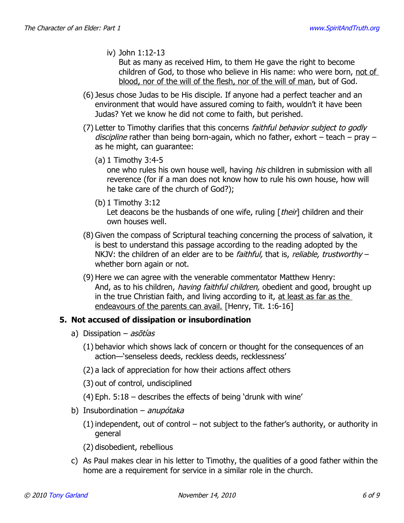iv) John 1:12-13

But as many as received Him, to them He gave the right to become children of God, to those who believe in His name: who were born, not of blood, nor of the will of the flesh, nor of the will of man, but of God.

- (6) Jesus chose Judas to be His disciple. If anyone had a perfect teacher and an environment that would have assured coming to faith, wouldn't it have been Judas? Yet we know he did not come to faith, but perished.
- (7) Letter to Timothy clarifies that this concerns *faithful behavior subject to godly* discipline rather than being born-again, which no father, exhort – teach – pray – as he might, can guarantee:
	- (a) 1 Timothy 3:4-5

one who rules his own house well, having *his* children in submission with all reverence (for if a man does not know how to rule his own house, how will he take care of the church of God?);

(b) 1 Timothy 3:12

Let deacons be the husbands of one wife, ruling  $[$  their $]$  children and their own houses well.

- (8) Given the compass of Scriptural teaching concerning the process of salvation, it is best to understand this passage according to the reading adopted by the NKJV: the children of an elder are to be *faithful*, that is, *reliable, trustworthy* – whether born again or not.
- (9) Here we can agree with the venerable commentator Matthew Henry: And, as to his children, *having faithful children*, obedient and good, brought up in the true Christian faith, and living according to it, at least as far as the endeavours of the parents can avail. [Henry, Tit. 1:6-16]

#### **5. Not accused of dissipation or insubordination**

- a) Dissipation asotias
	- (1) behavior which shows lack of concern or thought for the consequences of an action—'senseless deeds, reckless deeds, recklessness'
	- (2) a lack of appreciation for how their actions affect others
	- (3) out of control, undisciplined
	- (4) Eph. 5:18 describes the effects of being 'drunk with wine'
- b) Insubordination anupótaka
	- (1) independent, out of control not subject to the father's authority, or authority in general
	- (2) disobedient, rebellious
- c) As Paul makes clear in his letter to Timothy, the qualities of a good father within the home are a requirement for service in a similar role in the church.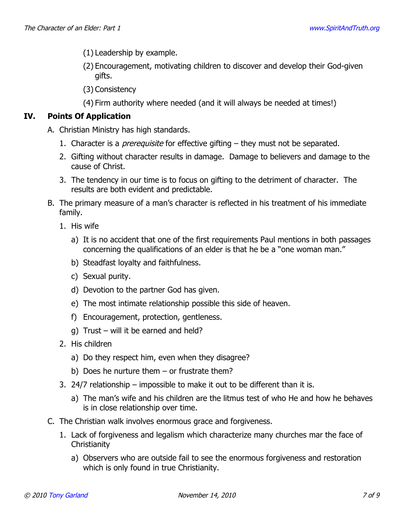- (1) Leadership by example.
- (2) Encouragement, motivating children to discover and develop their God-given gifts.
- (3) Consistency
- (4) Firm authority where needed (and it will always be needed at times!)

## **IV. Points Of Application**

- A. Christian Ministry has high standards.
	- 1. Character is a *prerequisite* for effective gifting  $-$  they must not be separated.
	- 2. Gifting without character results in damage. Damage to believers and damage to the cause of Christ.
	- 3. The tendency in our time is to focus on gifting to the detriment of character. The results are both evident and predictable.
- B. The primary measure of a man's character is reflected in his treatment of his immediate family.
	- 1. His wife
		- a) It is no accident that one of the first requirements Paul mentions in both passages concerning the qualifications of an elder is that he be a "one woman man."
		- b) Steadfast loyalty and faithfulness.
		- c) Sexual purity.
		- d) Devotion to the partner God has given.
		- e) The most intimate relationship possible this side of heaven.
		- f) Encouragement, protection, gentleness.
		- g) Trust will it be earned and held?
	- 2. His children
		- a) Do they respect him, even when they disagree?
		- b) Does he nurture them or frustrate them?
	- 3. 24/7 relationship impossible to make it out to be different than it is.
		- a) The man's wife and his children are the litmus test of who He and how he behaves is in close relationship over time.
- C. The Christian walk involves enormous grace and forgiveness.
	- 1. Lack of forgiveness and legalism which characterize many churches mar the face of **Christianity** 
		- a) Observers who are outside fail to see the enormous forgiveness and restoration which is only found in true Christianity.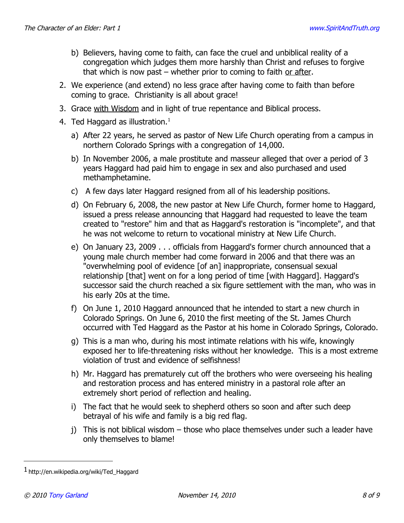- b) Believers, having come to faith, can face the cruel and unbiblical reality of a congregation which judges them more harshly than Christ and refuses to forgive that which is now past – whether prior to coming to faith or after.
- 2. We experience (and extend) no less grace after having come to faith than before coming to grace. Christianity is all about grace!
- 3. Grace with Wisdom and in light of true repentance and Biblical process.
- 4. Ted Haggard as illustration. $<sup>1</sup>$  $<sup>1</sup>$  $<sup>1</sup>$ </sup>
	- a) After 22 years, he served as pastor of New Life Church operating from a campus in northern Colorado Springs with a congregation of 14,000.
	- b) In November 2006, a male prostitute and masseur alleged that over a period of 3 years Haggard had paid him to engage in sex and also purchased and used methamphetamine.
	- c) A few days later Haggard resigned from all of his leadership positions.
	- d) On February 6, 2008, the new pastor at New Life Church, former home to Haggard, issued a press release announcing that Haggard had requested to leave the team created to "restore" him and that as Haggard's restoration is "incomplete", and that he was not welcome to return to vocational ministry at New Life Church.
	- e) On January 23, 2009 . . . officials from Haggard's former church announced that a young male church member had come forward in 2006 and that there was an "overwhelming pool of evidence [of an] inappropriate, consensual sexual relationship [that] went on for a long period of time [with Haggard]. Haggard's successor said the church reached a six figure settlement with the man, who was in his early 20s at the time.
	- f) On June 1, 2010 Haggard announced that he intended to start a new church in Colorado Springs. On June 6, 2010 the first meeting of the St. James Church occurred with Ted Haggard as the Pastor at his home in Colorado Springs, Colorado.
	- g) This is a man who, during his most intimate relations with his wife, knowingly exposed her to life-threatening risks without her knowledge. This is a most extreme violation of trust and evidence of selfishness!
	- h) Mr. Haggard has prematurely cut off the brothers who were overseeing his healing and restoration process and has entered ministry in a pastoral role after an extremely short period of reflection and healing.
	- i) The fact that he would seek to shepherd others so soon and after such deep betrayal of his wife and family is a big red flag.
	- j) This is not biblical wisdom those who place themselves under such a leader have only themselves to blame!

<span id="page-7-0"></span><sup>1</sup> http://en.wikipedia.org/wiki/Ted\_Haggard